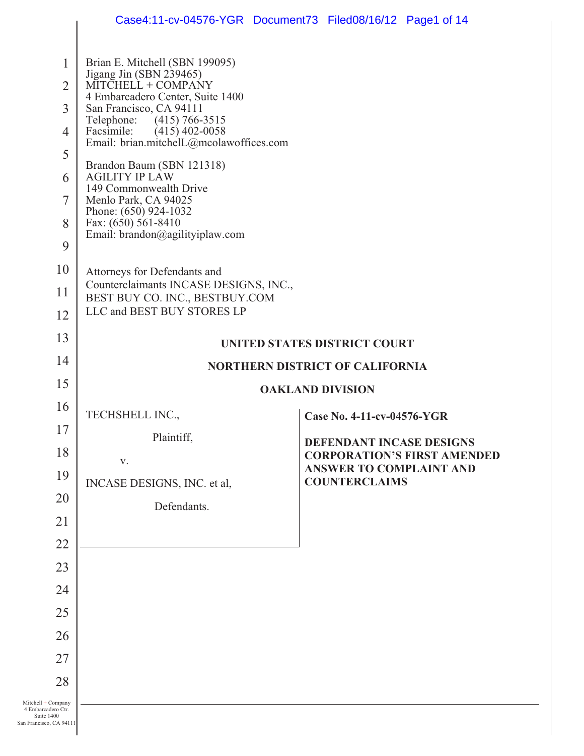|                                                                                   | Case4:11-cv-04576-YGR Document73 Filed08/16/12 Page1 of 14                                                                                                                                                                                                                                                                                                                                                                                                                       |                                                        |                                    |
|-----------------------------------------------------------------------------------|----------------------------------------------------------------------------------------------------------------------------------------------------------------------------------------------------------------------------------------------------------------------------------------------------------------------------------------------------------------------------------------------------------------------------------------------------------------------------------|--------------------------------------------------------|------------------------------------|
| 1<br>$\overline{2}$<br>3<br>$\overline{4}$<br>5<br>6<br>7<br>8<br>9<br>10         | Brian E. Mitchell (SBN 199095)<br>Jigang Jin (SBN 239465)<br>MITCHELL + COMPANY<br>4 Embarcadero Center, Suite 1400<br>San Francisco, CA 94111<br>Telephone: (415) 766-3515<br>Facsimile: (415) 402-0058<br>Email: brian.mitchelL@mcolawoffices.com<br>Brandon Baum (SBN 121318)<br><b>AGILITY IP LAW</b><br>149 Commonwealth Drive<br>Menlo Park, CA 94025<br>Phone: (650) 924-1032<br>Fax: (650) 561-8410<br>Email: $brandon@agilityiplaw.com$<br>Attorneys for Defendants and |                                                        |                                    |
| 11                                                                                | Counterclaimants INCASE DESIGNS, INC.,<br>BEST BUY CO. INC., BESTBUY.COM<br>LLC and BEST BUY STORES LP                                                                                                                                                                                                                                                                                                                                                                           |                                                        |                                    |
| 12<br>13                                                                          |                                                                                                                                                                                                                                                                                                                                                                                                                                                                                  |                                                        |                                    |
| 14                                                                                |                                                                                                                                                                                                                                                                                                                                                                                                                                                                                  | <b>UNITED STATES DISTRICT COURT</b>                    |                                    |
| 15                                                                                | <b>NORTHERN DISTRICT OF CALIFORNIA</b>                                                                                                                                                                                                                                                                                                                                                                                                                                           |                                                        |                                    |
| 16                                                                                |                                                                                                                                                                                                                                                                                                                                                                                                                                                                                  | <b>OAKLAND DIVISION</b>                                |                                    |
| 17                                                                                | TECHSHELL INC.,                                                                                                                                                                                                                                                                                                                                                                                                                                                                  | Case No. 4-11-cv-04576-YGR                             |                                    |
| 18                                                                                | Plaintiff,                                                                                                                                                                                                                                                                                                                                                                                                                                                                       | DEFENDANT INCASE DESIGNS                               | <b>CORPORATION'S FIRST AMENDED</b> |
| 19                                                                                | V.                                                                                                                                                                                                                                                                                                                                                                                                                                                                               | <b>ANSWER TO COMPLAINT AND</b><br><b>COUNTERCLAIMS</b> |                                    |
| 20                                                                                | INCASE DESIGNS, INC. et al,<br>Defendants.                                                                                                                                                                                                                                                                                                                                                                                                                                       |                                                        |                                    |
| 21                                                                                |                                                                                                                                                                                                                                                                                                                                                                                                                                                                                  |                                                        |                                    |
| 22                                                                                |                                                                                                                                                                                                                                                                                                                                                                                                                                                                                  |                                                        |                                    |
| 23                                                                                |                                                                                                                                                                                                                                                                                                                                                                                                                                                                                  |                                                        |                                    |
| 24                                                                                |                                                                                                                                                                                                                                                                                                                                                                                                                                                                                  |                                                        |                                    |
| 25                                                                                |                                                                                                                                                                                                                                                                                                                                                                                                                                                                                  |                                                        |                                    |
| 26                                                                                |                                                                                                                                                                                                                                                                                                                                                                                                                                                                                  |                                                        |                                    |
| 27                                                                                |                                                                                                                                                                                                                                                                                                                                                                                                                                                                                  |                                                        |                                    |
| 28                                                                                |                                                                                                                                                                                                                                                                                                                                                                                                                                                                                  |                                                        |                                    |
| Mitchell + Company<br>4 Embarcadero Ctr.<br>Suite 1400<br>San Francisco, CA 94111 |                                                                                                                                                                                                                                                                                                                                                                                                                                                                                  |                                                        |                                    |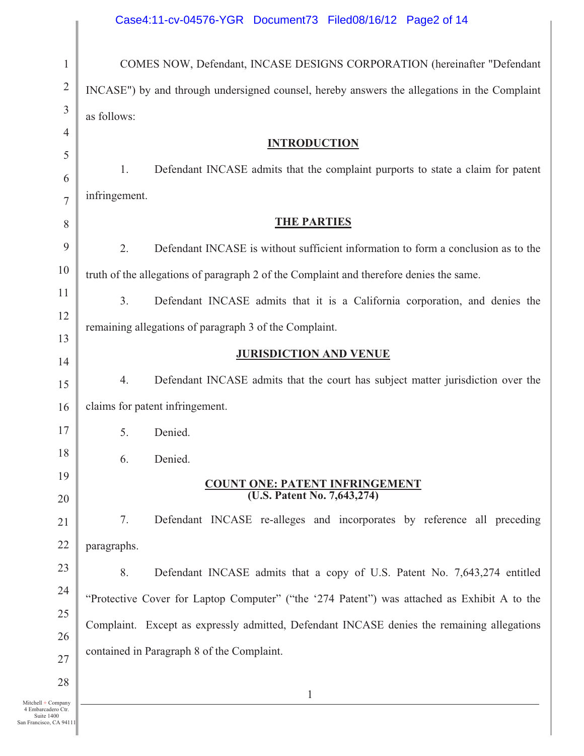| Case4:11-cv-04576-YGR Document73 Filed08/16/12 Page2 of 14 |  |  |
|------------------------------------------------------------|--|--|
|                                                            |  |  |

| $\mathbf{1}$                               | COMES NOW, Defendant, INCASE DESIGNS CORPORATION (hereinafter "Defendant                     |  |  |
|--------------------------------------------|----------------------------------------------------------------------------------------------|--|--|
| $\overline{2}$                             | INCASE") by and through undersigned counsel, hereby answers the allegations in the Complaint |  |  |
| $\mathfrak{Z}$                             | as follows:                                                                                  |  |  |
| $\overline{4}$                             | <b>INTRODUCTION</b>                                                                          |  |  |
| 5                                          | Defendant INCASE admits that the complaint purports to state a claim for patent<br>1.        |  |  |
| 6                                          | infringement.                                                                                |  |  |
| $\overline{7}$                             | <b>THE PARTIES</b>                                                                           |  |  |
| 8                                          |                                                                                              |  |  |
| 9                                          | 2.<br>Defendant INCASE is without sufficient information to form a conclusion as to the      |  |  |
| 10                                         | truth of the allegations of paragraph 2 of the Complaint and therefore denies the same.      |  |  |
| 11                                         | 3.<br>Defendant INCASE admits that it is a California corporation, and denies the            |  |  |
| 12                                         | remaining allegations of paragraph 3 of the Complaint.                                       |  |  |
| 13<br>14                                   | <b>JURISDICTION AND VENUE</b>                                                                |  |  |
| 15                                         | 4.<br>Defendant INCASE admits that the court has subject matter jurisdiction over the        |  |  |
| 16                                         | claims for patent infringement.                                                              |  |  |
| 17                                         | 5.<br>Denied.                                                                                |  |  |
| 18                                         | Denied.<br>6.                                                                                |  |  |
| 19                                         |                                                                                              |  |  |
| 20                                         | <b>COUNT ONE: PATENT INFRINGEMENT</b><br>(U.S. Patent No. 7,643,274)                         |  |  |
| 21                                         | 7.<br>Defendant INCASE re-alleges and incorporates by reference all preceding                |  |  |
| 22                                         | paragraphs.                                                                                  |  |  |
| 23                                         | 8.<br>Defendant INCASE admits that a copy of U.S. Patent No. 7,643,274 entitled              |  |  |
| 24                                         | "Protective Cover for Laptop Computer" ("the '274 Patent") was attached as Exhibit A to the  |  |  |
| 25                                         |                                                                                              |  |  |
| 26                                         | Complaint. Except as expressly admitted, Defendant INCASE denies the remaining allegations   |  |  |
| 27                                         | contained in Paragraph 8 of the Complaint.                                                   |  |  |
| 28                                         | $\mathbf{1}$                                                                                 |  |  |
| $Mitchell + Company$<br>4 Embarcadero Ctr. |                                                                                              |  |  |

 $\overline{1}$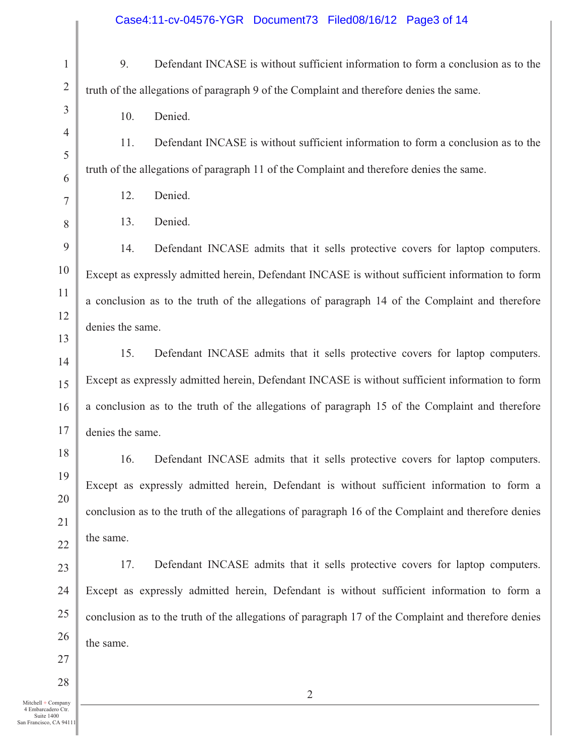| $\mathbf{1}$          | 9.                                                                                      | Defendant INCASE is without sufficient information to form a conclusion as to the                   |  |
|-----------------------|-----------------------------------------------------------------------------------------|-----------------------------------------------------------------------------------------------------|--|
| $\overline{2}$        | truth of the allegations of paragraph 9 of the Complaint and therefore denies the same. |                                                                                                     |  |
| 3                     | 10.                                                                                     | Denied.                                                                                             |  |
| $\overline{4}$        | 11.                                                                                     | Defendant INCASE is without sufficient information to form a conclusion as to the                   |  |
| 5<br>6                |                                                                                         | truth of the allegations of paragraph 11 of the Complaint and therefore denies the same.            |  |
| $\overline{7}$        | 12.                                                                                     | Denied.                                                                                             |  |
| 8                     | 13.                                                                                     | Denied.                                                                                             |  |
| 9                     | 14.                                                                                     | Defendant INCASE admits that it sells protective covers for laptop computers.                       |  |
| $10\,$                |                                                                                         | Except as expressly admitted herein, Defendant INCASE is without sufficient information to form     |  |
| 11                    |                                                                                         | a conclusion as to the truth of the allegations of paragraph 14 of the Complaint and therefore      |  |
| 12                    | denies the same.                                                                        |                                                                                                     |  |
| 13                    | 15.                                                                                     | Defendant INCASE admits that it sells protective covers for laptop computers.                       |  |
| $\overline{14}$<br>15 |                                                                                         | Except as expressly admitted herein, Defendant INCASE is without sufficient information to form     |  |
| 16                    |                                                                                         | a conclusion as to the truth of the allegations of paragraph 15 of the Complaint and therefore      |  |
| 17                    | denies the same.                                                                        |                                                                                                     |  |
| 18                    | 16.                                                                                     | Defendant INCASE admits that it sells protective covers for laptop computers.                       |  |
| 19                    |                                                                                         | Except as expressly admitted herein, Defendant is without sufficient information to form a          |  |
| 20                    |                                                                                         | conclusion as to the truth of the allegations of paragraph 16 of the Complaint and therefore denies |  |
| 21                    | the same.                                                                               |                                                                                                     |  |
| 22                    |                                                                                         |                                                                                                     |  |
| 23                    | 17.                                                                                     | Defendant INCASE admits that it sells protective covers for laptop computers.                       |  |
| 24<br>25              |                                                                                         | Except as expressly admitted herein, Defendant is without sufficient information to form a          |  |
| 26                    |                                                                                         | conclusion as to the truth of the allegations of paragraph 17 of the Complaint and therefore denies |  |
| 27                    | the same.                                                                               |                                                                                                     |  |
|                       |                                                                                         |                                                                                                     |  |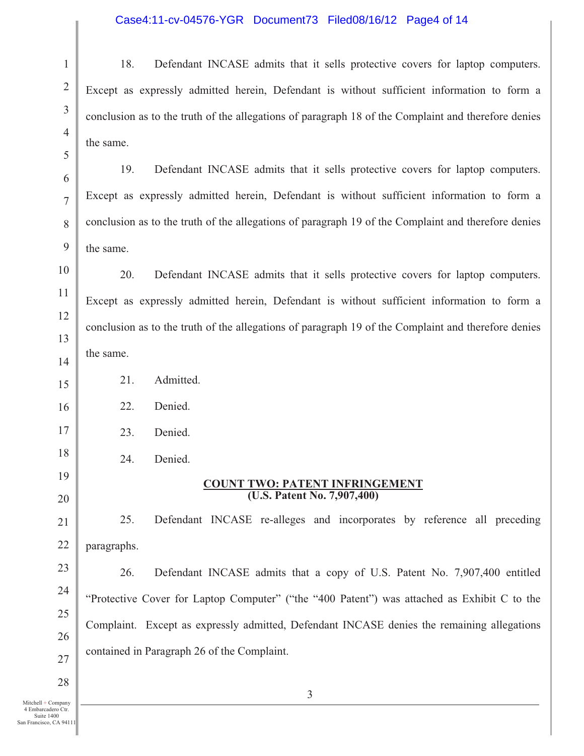### Case4:11-cv-04576-YGR Document73 Filed08/16/12 Page4 of 14

18. Defendant INCASE admits that it sells protective covers for laptop computers. Except as expressly admitted herein, Defendant is without sufficient information to form a conclusion as to the truth of the allegations of paragraph 18 of the Complaint and therefore denies the same.

19. Defendant INCASE admits that it sells protective covers for laptop computers. Except as expressly admitted herein, Defendant is without sufficient information to form a conclusion as to the truth of the allegations of paragraph 19 of the Complaint and therefore denies the same.

20. Defendant INCASE admits that it sells protective covers for laptop computers. Except as expressly admitted herein, Defendant is without sufficient information to form a conclusion as to the truth of the allegations of paragraph 19 of the Complaint and therefore denies the same.

21. Admitted.

22. Denied.

1

2

3

4

5

6

7

8

9

10

11

12

13

14

15

16

17

18

19

20

21

22

23

24

25

26

27

28

23. Denied.

24. Denied.

#### **COUNT TWO: PATENT INFRINGEMENT (U.S. Patent No. 7,907,400)**

25. Defendant INCASE re-alleges and incorporates by reference all preceding paragraphs.

26. Defendant INCASE admits that a copy of U.S. Patent No. 7,907,400 entitled "Protective Cover for Laptop Computer" ("the "400 Patent") was attached as Exhibit C to the Complaint. Except as expressly admitted, Defendant INCASE denies the remaining allegations contained in Paragraph 26 of the Complaint.

Mitchell + Company 4 Embarcadero Ctr. Suite 1400 San Francisco, CA 94111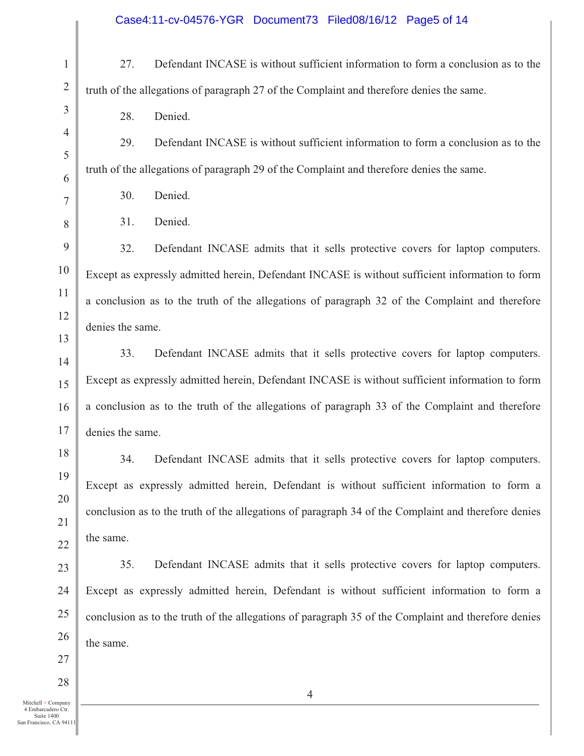| $\mathbf{1}$   | Defendant INCASE is without sufficient information to form a conclusion as to the<br>27.            |
|----------------|-----------------------------------------------------------------------------------------------------|
| $\overline{2}$ | truth of the allegations of paragraph 27 of the Complaint and therefore denies the same.            |
| 3              | Denied.<br>28.                                                                                      |
| $\overline{4}$ | 29.<br>Defendant INCASE is without sufficient information to form a conclusion as to the            |
| 5<br>6         | truth of the allegations of paragraph 29 of the Complaint and therefore denies the same.            |
| 7              | 30.<br>Denied.                                                                                      |
| 8              | Denied.<br>31.                                                                                      |
| 9              | 32.<br>Defendant INCASE admits that it sells protective covers for laptop computers.                |
| 10             | Except as expressly admitted herein, Defendant INCASE is without sufficient information to form     |
| 11             | a conclusion as to the truth of the allegations of paragraph 32 of the Complaint and therefore      |
| 12             | denies the same.                                                                                    |
| 13<br>14       | 33.<br>Defendant INCASE admits that it sells protective covers for laptop computers.                |
| 15             | Except as expressly admitted herein, Defendant INCASE is without sufficient information to form     |
| 16             | a conclusion as to the truth of the allegations of paragraph 33 of the Complaint and therefore      |
| 17             | denies the same.                                                                                    |
| 18             | 34.<br>Defendant INCASE admits that it sells protective covers for laptop computers.                |
| 19             | Except as expressly admitted herein, Defendant is without sufficient information to form a          |
| 20             | conclusion as to the truth of the allegations of paragraph 34 of the Complaint and therefore denies |
| 21<br>22       | the same.                                                                                           |
| 23             | 35.<br>Defendant INCASE admits that it sells protective covers for laptop computers.                |
| 24             | Except as expressly admitted herein, Defendant is without sufficient information to form a          |
| 25             | conclusion as to the truth of the allegations of paragraph 35 of the Complaint and therefore denies |
| 26             | the same.                                                                                           |
| 27             |                                                                                                     |
| 28             |                                                                                                     |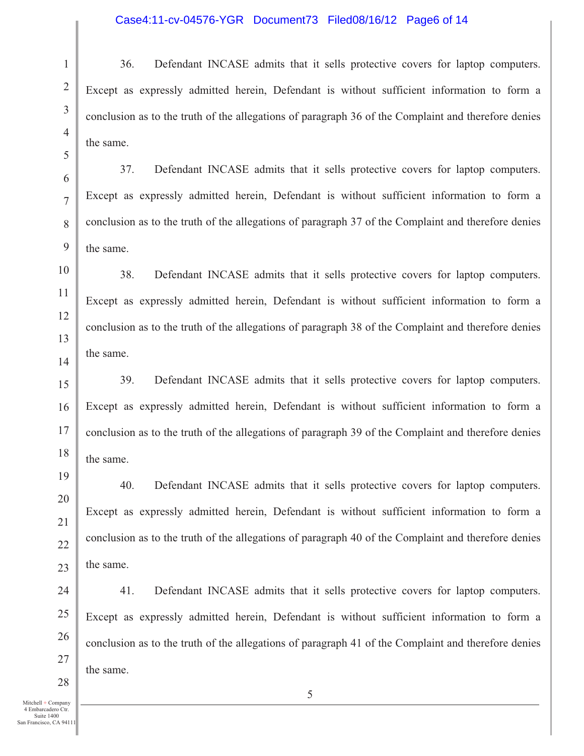### Case4:11-cv-04576-YGR Document73 Filed08/16/12 Page6 of 14

36. Defendant INCASE admits that it sells protective covers for laptop computers. Except as expressly admitted herein, Defendant is without sufficient information to form a conclusion as to the truth of the allegations of paragraph 36 of the Complaint and therefore denies the same.

37. Defendant INCASE admits that it sells protective covers for laptop computers. Except as expressly admitted herein, Defendant is without sufficient information to form a conclusion as to the truth of the allegations of paragraph 37 of the Complaint and therefore denies the same.

38. Defendant INCASE admits that it sells protective covers for laptop computers. Except as expressly admitted herein, Defendant is without sufficient information to form a conclusion as to the truth of the allegations of paragraph 38 of the Complaint and therefore denies the same.

39. Defendant INCASE admits that it sells protective covers for laptop computers. Except as expressly admitted herein, Defendant is without sufficient information to form a conclusion as to the truth of the allegations of paragraph 39 of the Complaint and therefore denies the same.

40. Defendant INCASE admits that it sells protective covers for laptop computers. Except as expressly admitted herein, Defendant is without sufficient information to form a conclusion as to the truth of the allegations of paragraph 40 of the Complaint and therefore denies the same.

41. Defendant INCASE admits that it sells protective covers for laptop computers. Except as expressly admitted herein, Defendant is without sufficient information to form a conclusion as to the truth of the allegations of paragraph 41 of the Complaint and therefore denies the same.

1

2

3

4

5

6

7

8

9

10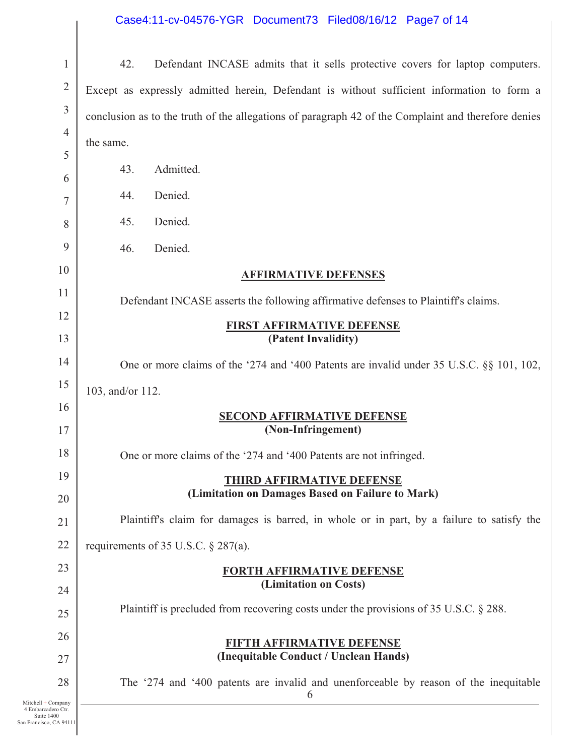## Case4:11-cv-04576-YGR Document73 Filed08/16/12 Page7 of 14

| $\mathbf{1}$          | 42.<br>Defendant INCASE admits that it sells protective covers for laptop computers.                |
|-----------------------|-----------------------------------------------------------------------------------------------------|
| $\overline{2}$        | Except as expressly admitted herein, Defendant is without sufficient information to form a          |
| $\mathfrak{Z}$        | conclusion as to the truth of the allegations of paragraph 42 of the Complaint and therefore denies |
| $\overline{4}$        | the same.                                                                                           |
| 5                     |                                                                                                     |
| 6                     | Admitted.<br>43.                                                                                    |
| 7                     | Denied.<br>44.                                                                                      |
| 8                     | Denied.<br>45.                                                                                      |
| 9                     | Denied.<br>46.                                                                                      |
| 10                    | <b>AFFIRMATIVE DEFENSES</b>                                                                         |
| 11                    | Defendant INCASE asserts the following affirmative defenses to Plaintiff's claims.                  |
| 12                    | <b>FIRST AFFIRMATIVE DEFENSE</b>                                                                    |
| 13                    | (Patent Invalidity)                                                                                 |
| 14                    | One or more claims of the '274 and '400 Patents are invalid under 35 U.S.C. §§ 101, 102,            |
| 15                    | 103, and/or 112.                                                                                    |
| 16                    | <b>SECOND AFFIRMATIVE DEFENSE</b>                                                                   |
| 17                    | (Non-Infringement)                                                                                  |
| 18                    | One or more claims of the '274 and '400 Patents are not infringed.                                  |
| 19                    | <b>THIRD AFFIRMATIVE DEFENSE</b>                                                                    |
| 20                    | (Limitation on Damages Based on Failure to Mark)                                                    |
| 21                    | Plaintiff's claim for damages is barred, in whole or in part, by a failure to satisfy the           |
| 22                    | requirements of 35 U.S.C. $\S$ 287(a).                                                              |
| 23                    | <b>FORTH AFFIRMATIVE DEFENSE</b>                                                                    |
| 24                    | (Limitation on Costs)                                                                               |
| 25                    | Plaintiff is precluded from recovering costs under the provisions of 35 U.S.C. § 288.               |
| 26                    | FIFTH AFFIRMATIVE DEFENSE                                                                           |
| 27                    | (Inequitable Conduct / Unclean Hands)                                                               |
| 28                    | The '274 and '400 patents are invalid and unenforceable by reason of the inequitable<br>6           |
| Company<br>adero Ctr. |                                                                                                     |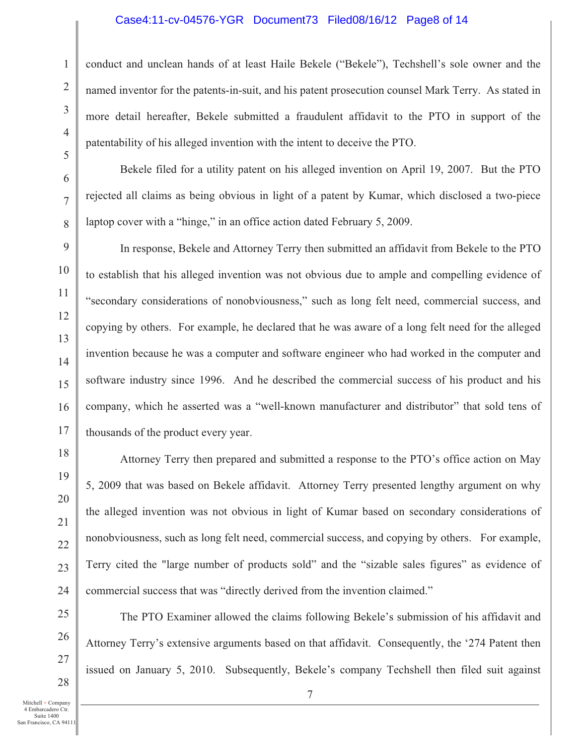#### Case4:11-cv-04576-YGR Document73 Filed08/16/12 Page8 of 14

conduct and unclean hands of at least Haile Bekele ("Bekele"), Techshell's sole owner and the named inventor for the patents-in-suit, and his patent prosecution counsel Mark Terry. As stated in more detail hereafter, Bekele submitted a fraudulent affidavit to the PTO in support of the patentability of his alleged invention with the intent to deceive the PTO.

Bekele filed for a utility patent on his alleged invention on April 19, 2007. But the PTO rejected all claims as being obvious in light of a patent by Kumar, which disclosed a two-piece laptop cover with a "hinge," in an office action dated February 5, 2009.

In response, Bekele and Attorney Terry then submitted an affidavit from Bekele to the PTO to establish that his alleged invention was not obvious due to ample and compelling evidence of "secondary considerations of nonobviousness," such as long felt need, commercial success, and copying by others. For example, he declared that he was aware of a long felt need for the alleged invention because he was a computer and software engineer who had worked in the computer and software industry since 1996. And he described the commercial success of his product and his company, which he asserted was a "well-known manufacturer and distributor" that sold tens of thousands of the product every year.

Attorney Terry then prepared and submitted a response to the PTO's office action on May 5, 2009 that was based on Bekele affidavit. Attorney Terry presented lengthy argument on why the alleged invention was not obvious in light of Kumar based on secondary considerations of nonobviousness, such as long felt need, commercial success, and copying by others. For example, Terry cited the "large number of products sold" and the "sizable sales figures" as evidence of commercial success that was "directly derived from the invention claimed."

The PTO Examiner allowed the claims following Bekele's submission of his affidavit and Attorney Terry's extensive arguments based on that affidavit. Consequently, the '274 Patent then issued on January 5, 2010. Subsequently, Bekele's company Techshell then filed suit against

Mitchell + Company 4 Embarcadero Ctr. Suite 1400

1

2

3

4

5

6

7

8

9

10

11

12

13

14

15

16

17

18

19

20

21

22

23

24

25

26

27

28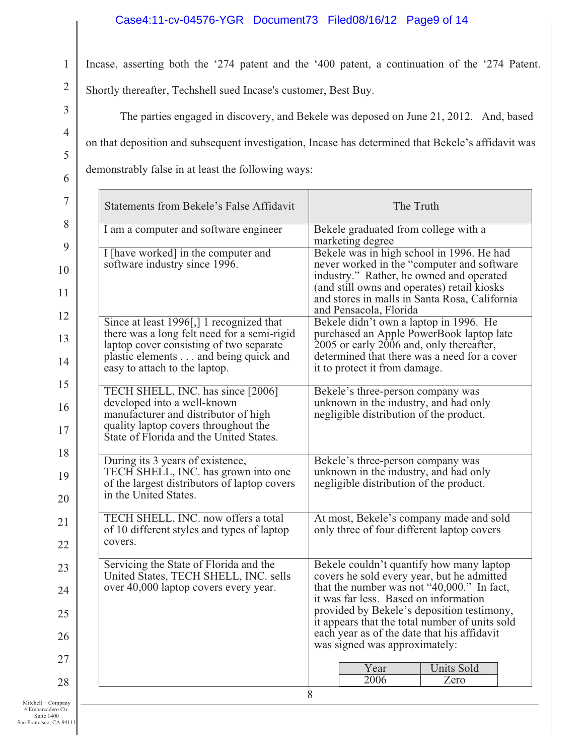### Case4:11-cv-04576-YGR Document73 Filed08/16/12 Page9 of 14

Incase, asserting both the '274 patent and the '400 patent, a continuation of the '274 Patent.

Shortly thereafter, Techshell sued Incase's customer, Best Buy.

The parties engaged in discovery, and Bekele was deposed on June 21, 2012. And, based on that deposition and subsequent investigation, Incase has determined that Bekele's affidavit was

demonstrably false in at least the following ways:

| <b>Statements from Bekele's False Affidavit</b>                                                                                                                                                             | The Truth                                                                                                                                                                                                                                                      |
|-------------------------------------------------------------------------------------------------------------------------------------------------------------------------------------------------------------|----------------------------------------------------------------------------------------------------------------------------------------------------------------------------------------------------------------------------------------------------------------|
| I am a computer and software engineer                                                                                                                                                                       | Bekele graduated from college with a<br>marketing degree                                                                                                                                                                                                       |
| I [have worked] in the computer and<br>software industry since 1996.                                                                                                                                        | Bekele was in high school in 1996. He had<br>never worked in the "computer and software"<br>industry." Rather, he owned and operated<br>(and still owns and operates) retail kiosks<br>and stores in malls in Santa Rosa, California<br>and Pensacola, Florida |
| Since at least 1996[,] 1 recognized that<br>there was a long felt need for a semi-rigid<br>laptop cover consisting of two separate<br>plastic elements and being quick and<br>easy to attach to the laptop. | Bekele didn't own a laptop in 1996. He<br>purchased an Apple PowerBook laptop late<br>2005 or early 2006 and, only thereafter,<br>determined that there was a need for a cover<br>it to protect it from damage.                                                |
| TECH SHELL, INC. has since [2006]<br>developed into a well-known<br>manufacturer and distributor of high<br>quality laptop covers throughout the<br>State of Florida and the United States.                 | Bekele's three-person company was<br>unknown in the industry, and had only<br>negligible distribution of the product.                                                                                                                                          |
| During its 3 years of existence,<br>TECH SHELL, INC. has grown into one<br>of the largest distributors of laptop covers<br>in the United States.                                                            | Bekele's three-person company was<br>unknown in the industry, and had only<br>negligible distribution of the product.                                                                                                                                          |
| TECH SHELL, INC. now offers a total<br>of 10 different styles and types of laptop<br>covers.                                                                                                                | At most, Bekele's company made and sold<br>only three of four different laptop covers                                                                                                                                                                          |
| Servicing the State of Florida and the<br>United States, TECH SHELL, INC. sells                                                                                                                             | Bekele couldn't quantify how many laptop<br>covers he sold every year, but he admitted                                                                                                                                                                         |
| over 40,000 laptop covers every year.                                                                                                                                                                       | that the number was not "40,000." In fact,<br>it was far less. Based on information                                                                                                                                                                            |
|                                                                                                                                                                                                             | provided by Bekele's deposition testimony,<br>it appears that the total number of units sold<br>each year as of the date that his affidavit                                                                                                                    |
|                                                                                                                                                                                                             | was signed was approximately:                                                                                                                                                                                                                                  |
|                                                                                                                                                                                                             | Year<br>Units Sold<br>2006<br>Zero                                                                                                                                                                                                                             |
|                                                                                                                                                                                                             | 8                                                                                                                                                                                                                                                              |

 $Mitchell + Com$ 4 Embarcadero Ctr. Suite 1400 San Francisco, CA 94111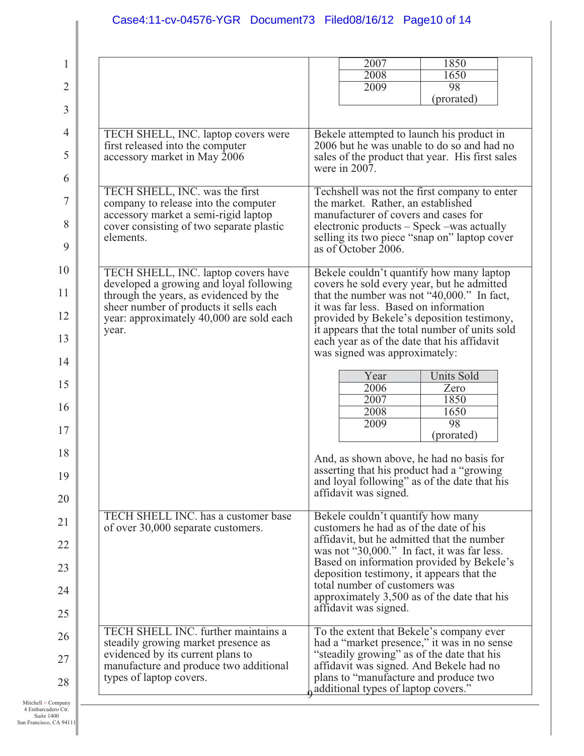|                                                                                             | 2007                                                                                          | 1850                                                                                     |
|---------------------------------------------------------------------------------------------|-----------------------------------------------------------------------------------------------|------------------------------------------------------------------------------------------|
|                                                                                             | 2008<br>2009                                                                                  | 1650<br>98                                                                               |
|                                                                                             |                                                                                               | (prorated)                                                                               |
|                                                                                             |                                                                                               |                                                                                          |
| TECH SHELL, INC. laptop covers were<br>first released into the computer                     |                                                                                               | Bekele attempted to launch his product in<br>2006 but he was unable to do so and had no  |
| accessory market in May 2006                                                                | were in 2007.                                                                                 | sales of the product that year. His first sales                                          |
| TECH SHELL, INC. was the first<br>company to release into the computer                      | the market. Rather, an established                                                            | Techshell was not the first company to enter                                             |
| accessory market a semi-rigid laptop<br>cover consisting of two separate plastic            | manufacturer of covers and cases for                                                          | electronic products – Speck –was actually                                                |
| elements.                                                                                   | as of October 2006.                                                                           | selling its two piece "snap on" laptop cover                                             |
| TECH SHELL, INC. laptop covers have                                                         |                                                                                               | Bekele couldn't quantify how many laptop                                                 |
| developed a growing and loyal following<br>through the years, as evidenced by the           |                                                                                               | covers he sold every year, but he admitted<br>that the number was not "40,000." In fact, |
| sheer number of products it sells each<br>year: approximately 40,000 are sold each<br>year. | it was far less. Based on information                                                         | provided by Bekele's deposition testimony,                                               |
|                                                                                             | it appears that the total number of units sold<br>each year as of the date that his affidavit |                                                                                          |
|                                                                                             | was signed was approximately:                                                                 |                                                                                          |
|                                                                                             | Year<br>2006                                                                                  | <b>Units Sold</b><br>Zero                                                                |
|                                                                                             | 2007<br>2008                                                                                  | 1850<br>1650                                                                             |
|                                                                                             | 2009                                                                                          | 98                                                                                       |
|                                                                                             |                                                                                               | (prorated)                                                                               |
|                                                                                             | asserting that his product had a "growing"                                                    | And, as shown above, he had no basis for                                                 |
|                                                                                             |                                                                                               | and loyal following" as of the date that his                                             |
|                                                                                             | affidavit was signed.                                                                         |                                                                                          |
| TECH SHELL INC. has a customer base<br>of over 30,000 separate customers.                   | Bekele couldn't quantify how many<br>customers he had as of the date of his                   |                                                                                          |
|                                                                                             |                                                                                               | affidavit, but he admitted that the number                                               |
|                                                                                             | was not "30,000." In fact, it was far less.                                                   | Based on information provided by Bekele's                                                |
|                                                                                             | deposition testimony, it appears that the<br>total number of customers was                    |                                                                                          |
|                                                                                             | affidavit was signed.                                                                         | approximately 3,500 as of the date that his                                              |
| TECH SHELL INC. further maintains a<br>steadily growing market presence as                  |                                                                                               | To the extent that Bekele's company ever                                                 |
| evidenced by its current plans to                                                           | "steadily growing" as of the date that his                                                    | had a "market presence," it was in no sense                                              |
| manufacture and produce two additional<br>types of laptop covers.                           | affidavit was signed. And Bekele had no<br>plans to "manufacture and produce two              |                                                                                          |
|                                                                                             | additional types of laptop covers."                                                           |                                                                                          |

Mitchell + Company 4 Embarcadero Ctr. Suite 1400 San Francisco, CA 94111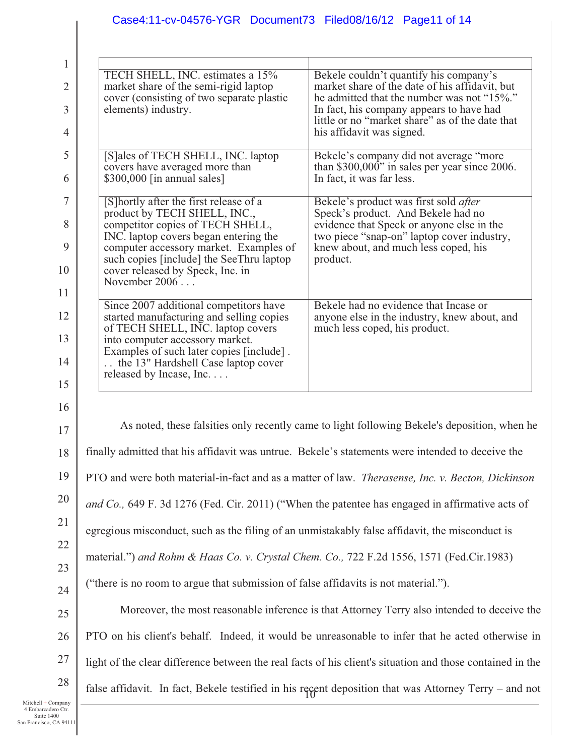# Case4:11-cv-04576-YGR Document73 Filed08/16/12 Page11 of 14

10 11  $\overline{1}$ 13 14  $1;$ 16  $1'$ 18 19 20 21  $\overline{2}$  $\overline{2}$  $2<sup>4</sup>$ 

| 1              |                                                                                                                     |                                                                                                                                 |  |
|----------------|---------------------------------------------------------------------------------------------------------------------|---------------------------------------------------------------------------------------------------------------------------------|--|
| $\overline{2}$ | TECH SHELL, INC. estimates a 15%<br>market share of the semi-rigid laptop                                           | Bekele couldn't quantify his company's<br>market share of the date of his affidavit, but                                        |  |
| 3              | cover (consisting of two separate plastic<br>elements) industry.                                                    | he admitted that the number was not "15%."<br>In fact, his company appears to have had                                          |  |
| $\overline{4}$ |                                                                                                                     | little or no "market share" as of the date that<br>his affidavit was signed.                                                    |  |
| 5              | [S]ales of TECH SHELL, INC. laptop<br>covers have averaged more than                                                | Bekele's company did not average "more<br>than \$300,000" in sales per year since 2006.                                         |  |
| 6              | \$300,000 [in annual sales]                                                                                         | In fact, it was far less.                                                                                                       |  |
| $\overline{7}$ | [S] hortly after the first release of a<br>product by TECH SHELL, INC.,                                             | Bekele's product was first sold after<br>Speck's product. And Bekele had no                                                     |  |
| 8<br>9         | competitor copies of TECH SHELL,<br>INC. laptop covers began entering the<br>computer accessory market. Examples of | evidence that Speck or anyone else in the<br>two piece "snap-on" laptop cover industry,<br>knew about, and much less coped, his |  |
| 10             | such copies [include] the SeeThru laptop<br>cover released by Speck, Inc. in                                        | product.                                                                                                                        |  |
| 11             | November 2006                                                                                                       |                                                                                                                                 |  |
| 12             | Since 2007 additional competitors have<br>started manufacturing and selling copies                                  | Bekele had no evidence that Incase or<br>anyone else in the industry, knew about, and                                           |  |
| 13             | of TECH SHELL, INC. laptop covers<br>into computer accessory market.<br>Examples of such later copies [include].    | much less coped, his product.                                                                                                   |  |
| 14             | the 13" Hardshell Case laptop cover<br>released by Incase, Inc.                                                     |                                                                                                                                 |  |
| 15             |                                                                                                                     |                                                                                                                                 |  |
| 16             |                                                                                                                     | As noted, these falsities only recently came to light following Bekele's deposition, when he                                    |  |
| 17<br>18       | finally admitted that his affidavit was untrue. Bekele's statements were intended to deceive the                    |                                                                                                                                 |  |
| 19             |                                                                                                                     | PTO and were both material-in-fact and as a matter of law. <i>Therasense, Inc. v. Becton, Dickinson</i>                         |  |
| 20             |                                                                                                                     |                                                                                                                                 |  |
| 21             | and Co., 649 F. 3d 1276 (Fed. Cir. 2011) ("When the patentee has engaged in affirmative acts of                     |                                                                                                                                 |  |
| 22             | egregious misconduct, such as the filing of an unmistakably false affidavit, the misconduct is                      |                                                                                                                                 |  |
| 23             | material.") and Rohm & Haas Co. v. Crystal Chem. Co., 722 F.2d 1556, 1571 (Fed.Cir.1983)                            |                                                                                                                                 |  |
| 24             | ("there is no room to argue that submission of false affidavits is not material.").                                 |                                                                                                                                 |  |
| 25             | Moreover, the most reasonable inference is that Attorney Terry also intended to deceive the                         |                                                                                                                                 |  |
| 26             | PTO on his client's behalf. Indeed, it would be unreasonable to infer that he acted otherwise in                    |                                                                                                                                 |  |
| 27             |                                                                                                                     | light of the clear difference between the real facts of his client's situation and those contained in the                       |  |
| 28             | false affidavit. In fact, Bekele testified in his regent deposition that was Attorney Terry - and not               |                                                                                                                                 |  |
|                |                                                                                                                     |                                                                                                                                 |  |

Mitchell + Company 4 Embarcadero Ctr. Suite 1400 San Francisco, CA 94111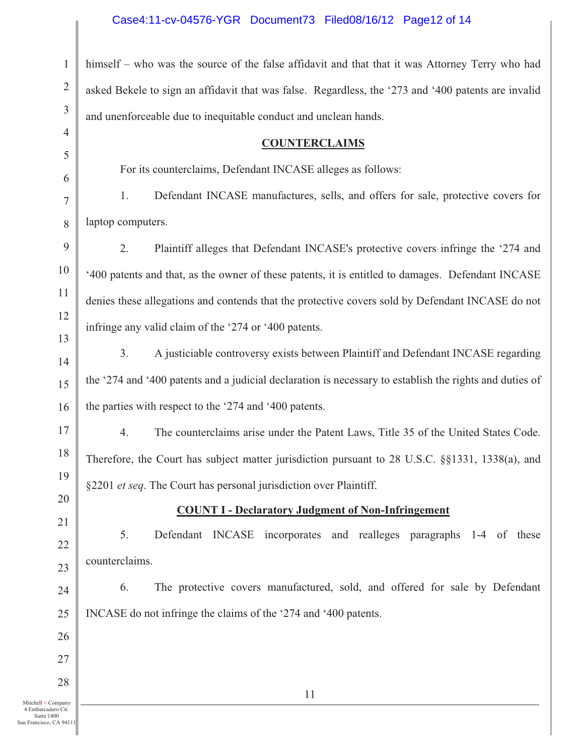# Case4:11-cv-04576-YGR Document73 Filed08/16/12 Page12 of 14

| $\mathbf{1}$         | himself – who was the source of the false affidavit and that that it was Attorney Terry who had         |
|----------------------|---------------------------------------------------------------------------------------------------------|
| $\overline{2}$       | asked Bekele to sign an affidavit that was false. Regardless, the '273 and '400 patents are invalid     |
| 3                    | and unenforceable due to inequitable conduct and unclean hands.                                         |
| $\overline{4}$       | <b>COUNTERCLAIMS</b>                                                                                    |
| 5                    | For its counterclaims, Defendant INCASE alleges as follows:                                             |
| 6<br>7               | Defendant INCASE manufactures, sells, and offers for sale, protective covers for<br>1.                  |
| 8                    | laptop computers.                                                                                       |
| 9                    | 2.<br>Plaintiff alleges that Defendant INCASE's protective covers infringe the '274 and                 |
| 10                   | '400 patents and that, as the owner of these patents, it is entitled to damages. Defendant INCASE       |
| 11                   | denies these allegations and contends that the protective covers sold by Defendant INCASE do not        |
| 12                   | infringe any valid claim of the '274 or '400 patents.                                                   |
| 13                   |                                                                                                         |
| 14                   | A justiciable controversy exists between Plaintiff and Defendant INCASE regarding<br>3.                 |
| 15                   | the '274 and '400 patents and a judicial declaration is necessary to establish the rights and duties of |
| 16                   | the parties with respect to the '274 and '400 patents.                                                  |
| 17                   | 4.<br>The counterclaims arise under the Patent Laws, Title 35 of the United States Code.                |
| 18                   | Therefore, the Court has subject matter jurisdiction pursuant to 28 U.S.C. §§1331, 1338(a), and         |
| 19<br>20             | §2201 et seq. The Court has personal jurisdiction over Plaintiff.                                       |
| 21                   | <b>COUNT I - Declaratory Judgment of Non-Infringement</b>                                               |
| 22                   | Defendant INCASE incorporates and realleges paragraphs 1-4 of these<br>5.                               |
| 23                   | counterclaims.                                                                                          |
| 24                   | The protective covers manufactured, sold, and offered for sale by Defendant<br>6.                       |
| 25                   | INCASE do not infringe the claims of the '274 and '400 patents.                                         |
| 26                   |                                                                                                         |
| 27                   |                                                                                                         |
| 28                   | 11                                                                                                      |
| mpany<br>o Ctr.<br>0 |                                                                                                         |

Mitchell + Company 4 Embarcadero Ctr. Suite 1400 San Francisco, CA 94111 28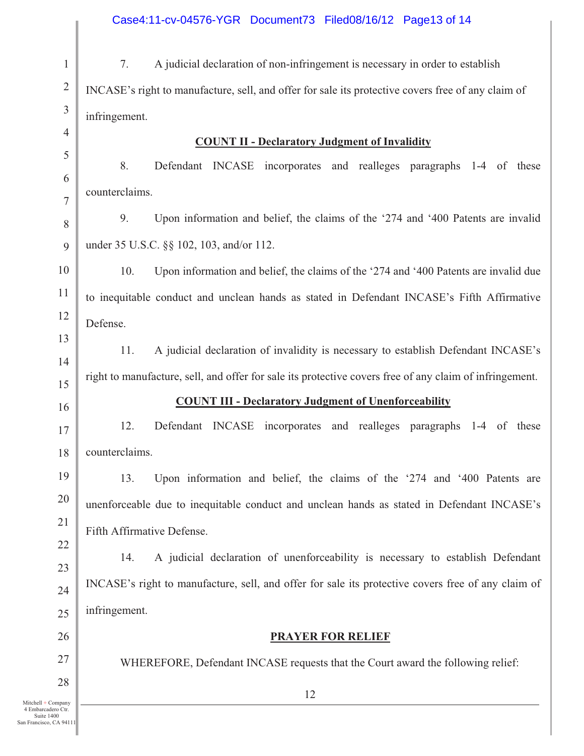1 2 3 4 5 6 7 8 9 10 11 12 13 14 15 16 17 18 19 20 21 22 23 24 25 26 27 28 12 7. A judicial declaration of non-infringement is necessary in order to establish INCASE's right to manufacture, sell, and offer for sale its protective covers free of any claim of infringement. **COUNT II - Declaratory Judgment of Invalidity**  8. Defendant INCASE incorporates and realleges paragraphs 1-4 of these counterclaims. 9. Upon information and belief, the claims of the '274 and '400 Patents are invalid under 35 U.S.C. §§ 102, 103, and/or 112. 10. Upon information and belief, the claims of the '274 and '400 Patents are invalid due to inequitable conduct and unclean hands as stated in Defendant INCASE's Fifth Affirmative Defense. 11. A judicial declaration of invalidity is necessary to establish Defendant INCASE's right to manufacture, sell, and offer for sale its protective covers free of any claim of infringement. **COUNT III - Declaratory Judgment of Unenforceability**  12. Defendant INCASE incorporates and realleges paragraphs 1-4 of these counterclaims. 13. Upon information and belief, the claims of the '274 and '400 Patents are unenforceable due to inequitable conduct and unclean hands as stated in Defendant INCASE's Fifth Affirmative Defense. 14. A judicial declaration of unenforceability is necessary to establish Defendant INCASE's right to manufacture, sell, and offer for sale its protective covers free of any claim of infringement. **PRAYER FOR RELIEF**  WHEREFORE, Defendant INCASE requests that the Court award the following relief: